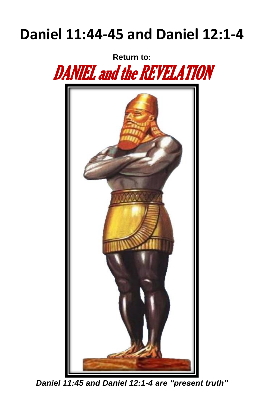# **Daniel 11:44-45 and Daniel 12:1-4**

**Return to:**





*Daniel 11:45 and Daniel 12:1-4 are "present truth"*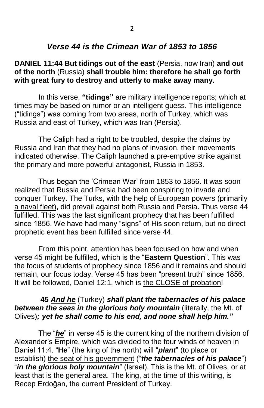### *Verse 44 is the Crimean War of 1853 to 1856*

#### **DANIEL 11:44 But tidings out of the east** (Persia, now Iran) **and out of the north** (Russia) **shall trouble him: therefore he shall go forth with great fury to destroy and utterly to make away many.**

In this verse, **"tidings"** are military intelligence reports; which at times may be based on rumor or an intelligent guess. This intelligence ("tidings") was coming from two areas, north of Turkey, which was Russia and east of Turkey, which was Iran (Persia).

The Caliph had a right to be troubled, despite the claims by Russia and Iran that they had no plans of invasion, their movements indicated otherwise. The Caliph launched a pre-emptive strike against the primary and more powerful antagonist, Russia in 1853.

Thus began the 'Crimean War' from 1853 to 1856. It was soon realized that Russia and Persia had been conspiring to invade and conquer Turkey. The Turks, with the help of European powers (primarily a naval fleet), did prevail against both Russia and Persia. Thus verse 44 fulfilled. This was the last significant prophecy that has been fulfilled since 1856. We have had many "signs" of His soon return, but no direct prophetic event has been fulfilled since verse 44.

From this point, attention has been focused on how and when verse 45 might be fulfilled, which is the "**Eastern Question**". This was the focus of students of prophecy since 1856 and it remains and should remain, our focus today. Verse 45 has been "present truth" since 1856. It will be followed, Daniel 12:1, which is the CLOSE of probation!

#### **45** *And he* (Turkey) *shall plant the tabernacles of his palace*  **between the seas in the glorious holy mountain** (literally, the Mt. of Olives)*; yet he shall come to his end, and none shall help him."*

The "*he*" in verse 45 is the current king of the northern division of Alexander's Empire, which was divided to the four winds of heaven in Daniel 11:4. "**He**" (the king of the north) will "*plant*" (to place or establish) the seat of his government ("*the tabernacles of his palace*") "*in the glorious holy mountain*" (Israel). This is the Mt. of Olives, or at least that is the general area. The king, at the time of this writing, is Recep Erdoğan, the current President of Turkey.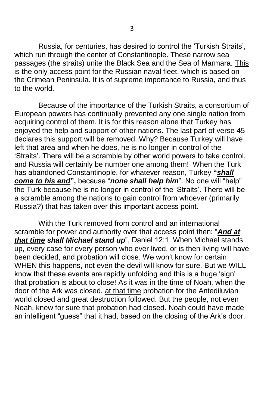Russia, for centuries, has desired to control the 'Turkish Straits', which run through the center of Constantinople. These narrow sea passages (the straits) unite the Black Sea and the Sea of Marmara. This is the only access point for the Russian naval fleet, which is based on the Crimean Peninsula. It is of supreme importance to Russia, and thus to the world.

Because of the importance of the Turkish Straits, a consortium of European powers has continually prevented any one single nation from acquiring control of them. It is for this reason alone that Turkey has enjoyed the help and support of other nations. The last part of verse 45 declares this support will be removed. Why? Because Turkey will have left that area and when he does, he is no longer in control of the 'Straits'. There will be a scramble by other world powers to take control, and Russia will certainly be number one among them! When the Turk has abandoned Constantinople, for whatever reason, Turkey **"***shall come to his end***",** because "*none shall help him*". No one will "help" the Turk because he is no longer in control of the 'Straits'. There will be a scramble among the nations to gain control from whoever (primarily Russia?) that has taken over this important access point.

With the Turk removed from control and an international scramble for power and authority over that access point then: "*And at that time shall Michael stand up*", Daniel 12:1. When Michael stands up, every case for every person who ever lived, or is then living will have been decided, and probation will close. We won't know for certain WHEN this happens, not even the devil will know for sure. But we WILL know that these events are rapidly unfolding and this is a huge 'sign' that probation is about to close! As it was in the time of Noah, when the door of the Ark was closed, at that time probation for the Antediluvian world closed and great destruction followed. But the people, not even Noah, knew for sure that probation had closed. Noah could have made an intelligent "guess" that it had, based on the closing of the Ark's door.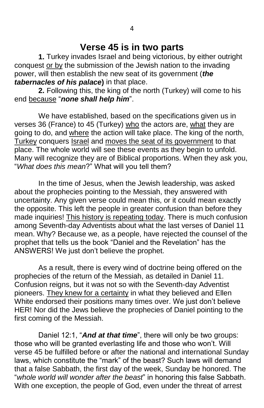## **Verse 45 is in two parts**

**1.** Turkey invades Israel and being victorious, by either outright conquest or by the submission of the Jewish nation to the invading power, will then establish the new seat of its government (*the tabernacles of his palace***)** in that place.

**2.** Following this, the king of the north (Turkey) will come to his end because "*none shall help him*".

We have established, based on the specifications given us in verses 36 (France) to 45 (Turkey) who the actors are, what they are going to do, and where the action will take place. The king of the north, Turkey conquers Israel and moves the seat of its government to that place. The whole world will see these events as they begin to unfold. Many will recognize they are of Biblical proportions. When they ask you, "*What does this mean*?" What will you tell them?

In the time of Jesus, when the Jewish leadership, was asked about the prophecies pointing to the Messiah, they answered with uncertainty. Any given verse could mean this, or it could mean exactly the opposite. This left the people in greater confusion than before they made inquiries! This history is repeating today. There is much confusion among Seventh-day Adventists about what the last verses of Daniel 11 mean. Why? Because we, as a people, have rejected the counsel of the prophet that tells us the book "Daniel and the Revelation" has the ANSWERS! We just don't believe the prophet.

As a result, there is every wind of doctrine being offered on the prophecies of the return of the Messiah, as detailed in Daniel 11. Confusion reigns, but it was not so with the Seventh-day Adventist pioneers. They knew for a certainty in what they believed and Ellen White endorsed their positions many times over. We just don't believe HER! Nor did the Jews believe the prophecies of Daniel pointing to the first coming of the Messiah.

Daniel 12:1, "*And at that time*", there will only be two groups: those who will be granted everlasting life and those who won't. Will verse 45 be fulfilled before or after the national and international Sunday laws, which constitute the "mark" of the beast? Such laws will demand that a false Sabbath, the first day of the week, Sunday be honored. The "*whole world will wonder after the beast*" in honoring this false Sabbath. With one exception, the people of God, even under the threat of arrest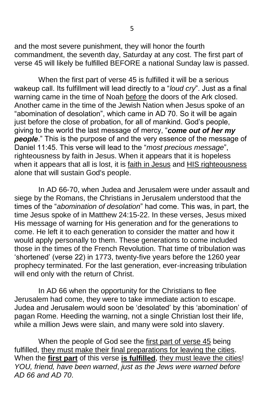and the most severe punishment, they will honor the fourth commandment, the seventh day, Saturday at any cost. The first part of verse 45 will likely be fulfilled BEFORE a national Sunday law is passed.

When the first part of verse 45 is fulfilled it will be a serious wakeup call. Its fulfillment will lead directly to a "*loud cry*". Just as a final warning came in the time of Noah before the doors of the Ark closed. Another came in the time of the Jewish Nation when Jesus spoke of an "abomination of desolation", which came in AD 70. So it will be again just before the close of probation, for all of mankind. God's people, giving to the world the last message of mercy, "*come out of her my people*." This is the purpose of and the very essence of the message of Daniel 11:45. This verse will lead to the "*most precious message*", righteousness by faith in Jesus. When it appears that it is hopeless when it appears that all is lost, it is faith in Jesus and HIS righteousness alone that will sustain God's people.

In AD 66-70, when Judea and Jerusalem were under assault and siege by the Romans, the Christians in Jerusalem understood that the times of the "*abomination of desolation*" had come. This was, in part, the time Jesus spoke of in Matthew 24:15-22. In these verses, Jesus mixed His message of warning for His generation and for the generations to come. He left it to each generation to consider the matter and how it would apply personally to them. These generations to come included those in the times of the French Revolution. That time of tribulation was 'shortened' (verse 22) in 1773, twenty-five years before the 1260 year prophecy terminated. For the last generation, ever-increasing tribulation will end only with the return of Christ.

In AD 66 when the opportunity for the Christians to flee Jerusalem had come, they were to take immediate action to escape. Judea and Jerusalem would soon be 'desolated' by this 'abomination' of pagan Rome. Heeding the warning, not a single Christian lost their life, while a million Jews were slain, and many were sold into slavery.

When the people of God see the first part of verse 45 being fulfilled, they must make their final preparations for leaving the cities. When the **first part** of this verse **is fulfilled**, they must leave the cities! *YOU, friend, have been warned*, *just as the Jews were warned before AD 66 and AD 70*.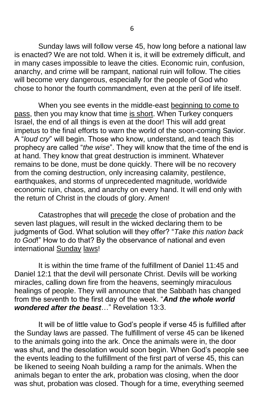Sunday laws will follow verse 45, how long before a national law is enacted? We are not told. When it is, it will be extremely difficult, and in many cases impossible to leave the cities. Economic ruin, confusion, anarchy, and crime will be rampant, national ruin will follow. The cities will become very dangerous, especially for the people of God who chose to honor the fourth commandment, even at the peril of life itself.

When you see events in the middle-east beginning to come to pass, then you may know that time is short. When Turkey conquers Israel, the end of all things is even at the door! This will add great impetus to the final efforts to warn the world of the soon-coming Savior. A "*loud cry*" will begin. Those who know, understand, and teach this prophecy are called "*the wise*". They will know that the time of the end is at hand. They know that great destruction is imminent. Whatever remains to be done, must be done quickly. There will be no recovery from the coming destruction, only increasing calamity, pestilence, earthquakes, and storms of unprecedented magnitude, worldwide economic ruin, chaos, and anarchy on every hand. It will end only with the return of Christ in the clouds of glory. Amen!

Catastrophes that will precede the close of probation and the seven last plagues, will result in the wicked declaring them to be judgments of God. What solution will they offer? "*Take this nation back to God*!" How to do that? By the observance of national and even international Sunday laws!

It is within the time frame of the fulfillment of Daniel 11:45 and Daniel 12:1 that the devil will personate Christ. Devils will be working miracles, calling down fire from the heavens, seemingly miraculous healings of people. They will announce that the Sabbath has changed from the seventh to the first day of the week. "*And the whole world wondered after the beast*…" Revelation 13:3.

It will be of little value to God's people if verse 45 is fulfilled after the Sunday laws are passed. The fulfillment of verse 45 can be likened to the animals going into the ark. Once the animals were in, the door was shut, and the desolation would soon begin. When God's people see the events leading to the fulfillment of the first part of verse 45, this can be likened to seeing Noah building a ramp for the animals. When the animals began to enter the ark, probation was closing, when the door was shut, probation was closed. Though for a time, everything seemed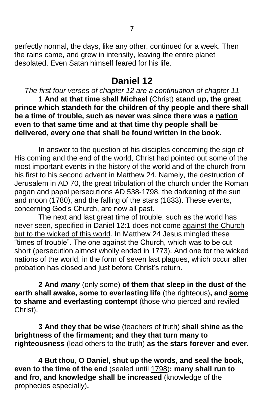perfectly normal, the days, like any other, continued for a week. Then the rains came, and grew in intensity, leaving the entire planet desolated. Even Satan himself feared for his life.

# **Daniel 12**

*The first four verses of chapter 12 are a continuation of chapter 11* **1 And at that time shall Michael** (Christ) **stand up, the great prince which standeth for the children of thy people and there shall be a time of trouble, such as never was since there was a nation even to that same time and at that time thy people shall be delivered, every one that shall be found written in the book.**

In answer to the question of his disciples concerning the sign of His coming and the end of the world, Christ had pointed out some of the most important events in the history of the world and of the church from his first to his second advent in Matthew 24. Namely, the destruction of Jerusalem in AD 70, the great tribulation of the church under the Roman pagan and papal persecutions AD 538-1798, the darkening of the sun and moon (1780), and the falling of the stars (1833). These events, concerning God's Church, are now all past.

The next and last great time of trouble, such as the world has never seen, specified in Daniel 12:1 does not come against the Church but to the wicked of this world. In Matthew 24 Jesus mingled these "times of trouble". The one against the Church, which was to be cut short (persecution almost wholly ended in 1773). And one for the wicked nations of the world, in the form of seven last plagues, which occur after probation has closed and just before Christ's return.

**2 And** *many* (only some) **of them that sleep in the dust of the earth shall awake, some to everlasting life** (the righteous)**, and some to shame and everlasting contempt** (those who pierced and reviled Christ).

**3 And they that be wise** (teachers of truth) **shall shine as the brightness of the firmament; and they that turn many to righteousness** (lead others to the truth) **as the stars forever and ever.**

**4 But thou, O Daniel, shut up the words, and seal the book, even to the time of the end** (sealed until 1798)**: many shall run to and fro, and knowledge shall be increased** (knowledge of the prophecies especially)**.**